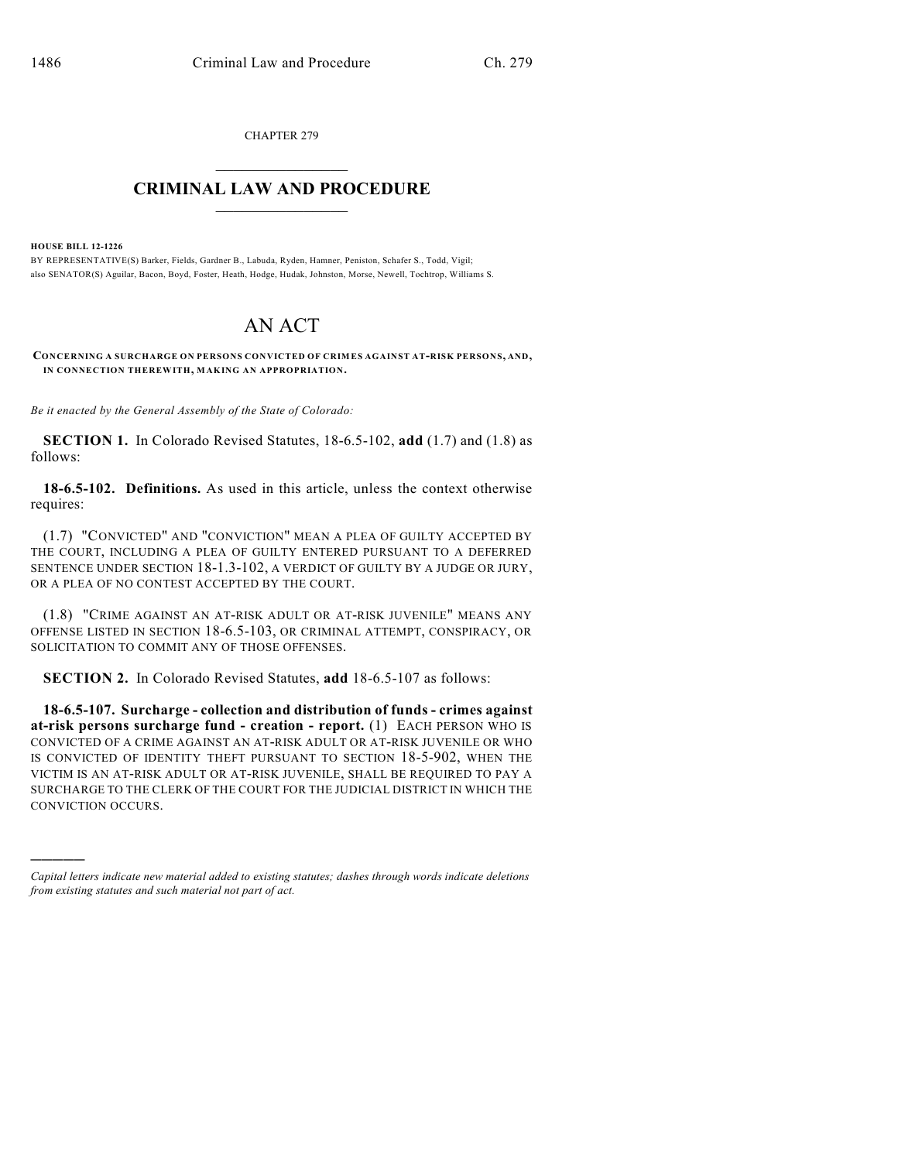CHAPTER 279

## $\mathcal{L}_\text{max}$  . The set of the set of the set of the set of the set of the set of the set of the set of the set of the set of the set of the set of the set of the set of the set of the set of the set of the set of the set **CRIMINAL LAW AND PROCEDURE**  $\_$

**HOUSE BILL 12-1226**

)))))

BY REPRESENTATIVE(S) Barker, Fields, Gardner B., Labuda, Ryden, Hamner, Peniston, Schafer S., Todd, Vigil; also SENATOR(S) Aguilar, Bacon, Boyd, Foster, Heath, Hodge, Hudak, Johnston, Morse, Newell, Tochtrop, Williams S.

## AN ACT

**CONCERNING A SURCHARGE ON PERSONS CONVICTED OF CRIMES AGAINST AT-RISK PERSONS, AND, IN CONNECTION THEREWITH, MAKING AN APPROPRIATION.**

*Be it enacted by the General Assembly of the State of Colorado:*

**SECTION 1.** In Colorado Revised Statutes, 18-6.5-102, **add** (1.7) and (1.8) as follows:

**18-6.5-102. Definitions.** As used in this article, unless the context otherwise requires:

(1.7) "CONVICTED" AND "CONVICTION" MEAN A PLEA OF GUILTY ACCEPTED BY THE COURT, INCLUDING A PLEA OF GUILTY ENTERED PURSUANT TO A DEFERRED SENTENCE UNDER SECTION 18-1.3-102, A VERDICT OF GUILTY BY A JUDGE OR JURY, OR A PLEA OF NO CONTEST ACCEPTED BY THE COURT.

(1.8) "CRIME AGAINST AN AT-RISK ADULT OR AT-RISK JUVENILE" MEANS ANY OFFENSE LISTED IN SECTION 18-6.5-103, OR CRIMINAL ATTEMPT, CONSPIRACY, OR SOLICITATION TO COMMIT ANY OF THOSE OFFENSES.

**SECTION 2.** In Colorado Revised Statutes, **add** 18-6.5-107 as follows:

**18-6.5-107. Surcharge - collection and distribution of funds - crimes against at-risk persons surcharge fund - creation - report.** (1) EACH PERSON WHO IS CONVICTED OF A CRIME AGAINST AN AT-RISK ADULT OR AT-RISK JUVENILE OR WHO IS CONVICTED OF IDENTITY THEFT PURSUANT TO SECTION 18-5-902, WHEN THE VICTIM IS AN AT-RISK ADULT OR AT-RISK JUVENILE, SHALL BE REQUIRED TO PAY A SURCHARGE TO THE CLERK OF THE COURT FOR THE JUDICIAL DISTRICT IN WHICH THE CONVICTION OCCURS.

*Capital letters indicate new material added to existing statutes; dashes through words indicate deletions from existing statutes and such material not part of act.*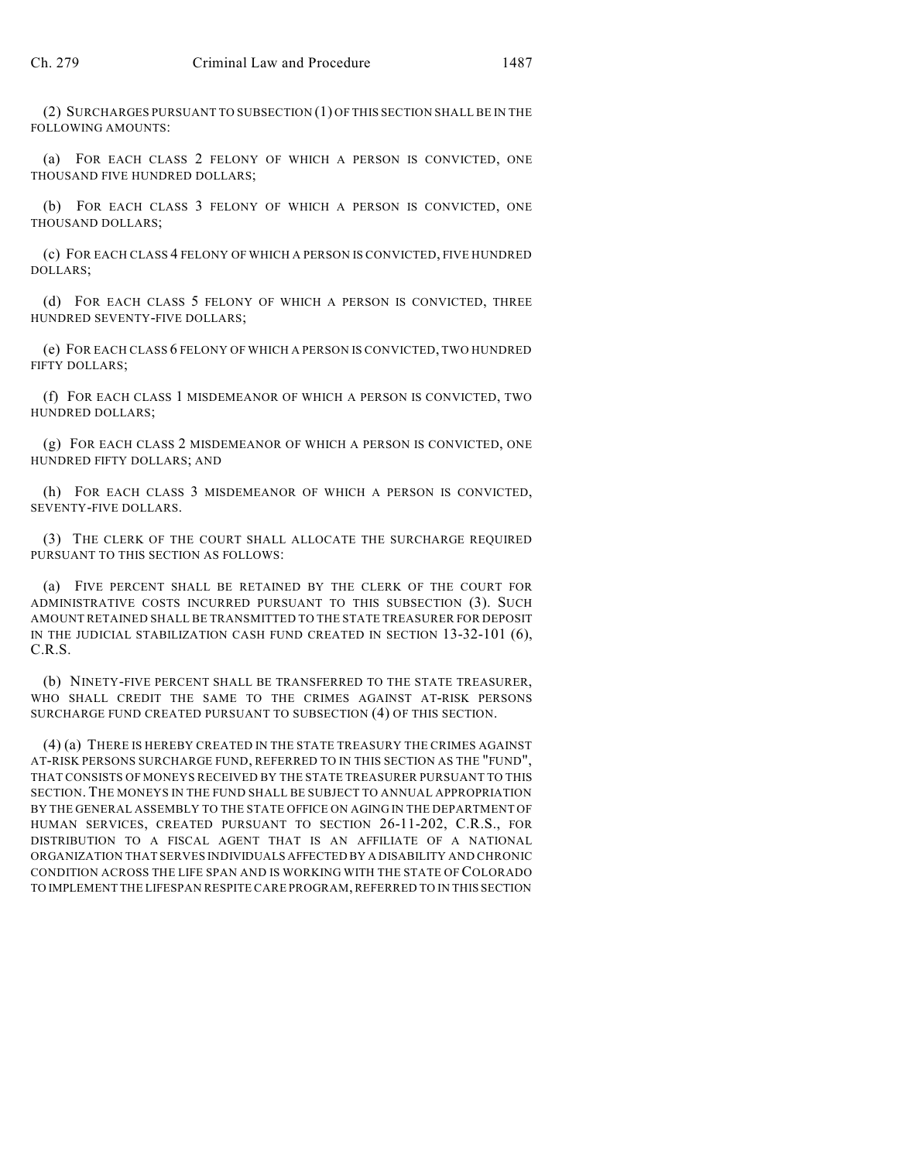(2) SURCHARGES PURSUANT TO SUBSECTION (1) OF THIS SECTION SHALL BE IN THE FOLLOWING AMOUNTS:

(a) FOR EACH CLASS 2 FELONY OF WHICH A PERSON IS CONVICTED, ONE THOUSAND FIVE HUNDRED DOLLARS;

(b) FOR EACH CLASS 3 FELONY OF WHICH A PERSON IS CONVICTED, ONE THOUSAND DOLLARS;

(c) FOR EACH CLASS 4 FELONY OF WHICH A PERSON IS CONVICTED, FIVE HUNDRED DOLLARS;

(d) FOR EACH CLASS 5 FELONY OF WHICH A PERSON IS CONVICTED, THREE HUNDRED SEVENTY-FIVE DOLLARS;

(e) FOR EACH CLASS 6 FELONY OF WHICH A PERSON IS CONVICTED, TWO HUNDRED FIFTY DOLLARS;

(f) FOR EACH CLASS 1 MISDEMEANOR OF WHICH A PERSON IS CONVICTED, TWO HUNDRED DOLLARS;

(g) FOR EACH CLASS 2 MISDEMEANOR OF WHICH A PERSON IS CONVICTED, ONE HUNDRED FIFTY DOLLARS; AND

(h) FOR EACH CLASS 3 MISDEMEANOR OF WHICH A PERSON IS CONVICTED, SEVENTY-FIVE DOLLARS.

(3) THE CLERK OF THE COURT SHALL ALLOCATE THE SURCHARGE REQUIRED PURSUANT TO THIS SECTION AS FOLLOWS:

(a) FIVE PERCENT SHALL BE RETAINED BY THE CLERK OF THE COURT FOR ADMINISTRATIVE COSTS INCURRED PURSUANT TO THIS SUBSECTION (3). SUCH AMOUNT RETAINED SHALL BE TRANSMITTED TO THE STATE TREASURER FOR DEPOSIT IN THE JUDICIAL STABILIZATION CASH FUND CREATED IN SECTION 13-32-101 (6), C.R.S.

(b) NINETY-FIVE PERCENT SHALL BE TRANSFERRED TO THE STATE TREASURER, WHO SHALL CREDIT THE SAME TO THE CRIMES AGAINST AT-RISK PERSONS SURCHARGE FUND CREATED PURSUANT TO SUBSECTION (4) OF THIS SECTION.

(4) (a) THERE IS HEREBY CREATED IN THE STATE TREASURY THE CRIMES AGAINST AT-RISK PERSONS SURCHARGE FUND, REFERRED TO IN THIS SECTION AS THE "FUND", THAT CONSISTS OF MONEYS RECEIVED BY THE STATE TREASURER PURSUANT TO THIS SECTION. THE MONEYS IN THE FUND SHALL BE SUBJECT TO ANNUAL APPROPRIATION BY THE GENERAL ASSEMBLY TO THE STATE OFFICE ON AGING IN THE DEPARTMENT OF HUMAN SERVICES, CREATED PURSUANT TO SECTION 26-11-202, C.R.S., FOR DISTRIBUTION TO A FISCAL AGENT THAT IS AN AFFILIATE OF A NATIONAL ORGANIZATION THAT SERVES INDIVIDUALS AFFECTED BY A DISABILITY AND CHRONIC CONDITION ACROSS THE LIFE SPAN AND IS WORKING WITH THE STATE OF COLORADO TO IMPLEMENT THE LIFESPAN RESPITE CARE PROGRAM, REFERRED TO IN THIS SECTION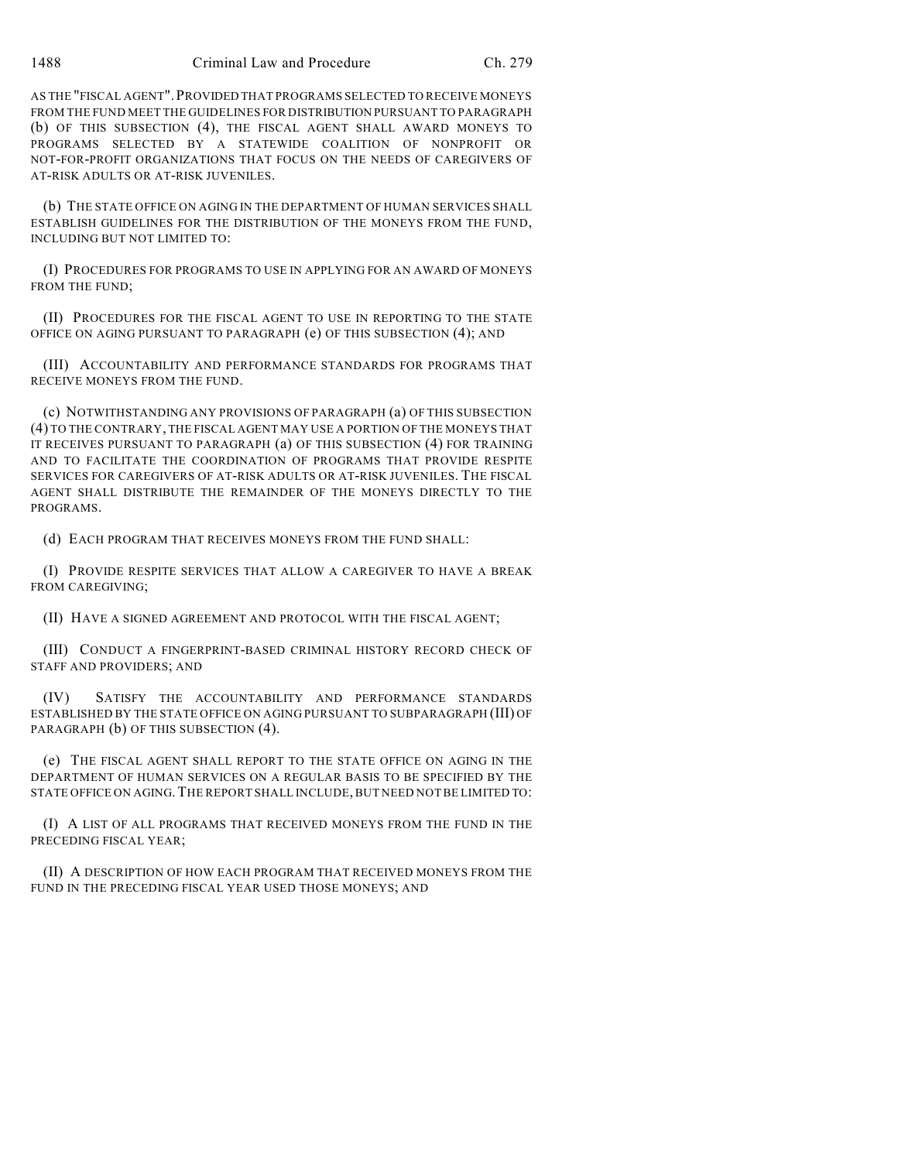AS THE "FISCAL AGENT".PROVIDED THAT PROGRAMS SELECTED TO RECEIVE MONEYS FROM THE FUND MEET THE GUIDELINES FOR DISTRIBUTION PURSUANT TO PARAGRAPH (b) OF THIS SUBSECTION (4), THE FISCAL AGENT SHALL AWARD MONEYS TO PROGRAMS SELECTED BY A STATEWIDE COALITION OF NONPROFIT OR NOT-FOR-PROFIT ORGANIZATIONS THAT FOCUS ON THE NEEDS OF CAREGIVERS OF AT-RISK ADULTS OR AT-RISK JUVENILES.

(b) THE STATE OFFICE ON AGING IN THE DEPARTMENT OF HUMAN SERVICES SHALL ESTABLISH GUIDELINES FOR THE DISTRIBUTION OF THE MONEYS FROM THE FUND, INCLUDING BUT NOT LIMITED TO:

(I) PROCEDURES FOR PROGRAMS TO USE IN APPLYING FOR AN AWARD OF MONEYS FROM THE FUND;

(II) PROCEDURES FOR THE FISCAL AGENT TO USE IN REPORTING TO THE STATE OFFICE ON AGING PURSUANT TO PARAGRAPH (e) OF THIS SUBSECTION (4); AND

(III) ACCOUNTABILITY AND PERFORMANCE STANDARDS FOR PROGRAMS THAT RECEIVE MONEYS FROM THE FUND.

(c) NOTWITHSTANDING ANY PROVISIONS OF PARAGRAPH (a) OF THIS SUBSECTION (4) TO THE CONTRARY, THE FISCAL AGENT MAY USE A PORTION OF THE MONEYS THAT IT RECEIVES PURSUANT TO PARAGRAPH (a) OF THIS SUBSECTION (4) FOR TRAINING AND TO FACILITATE THE COORDINATION OF PROGRAMS THAT PROVIDE RESPITE SERVICES FOR CAREGIVERS OF AT-RISK ADULTS OR AT-RISK JUVENILES. THE FISCAL AGENT SHALL DISTRIBUTE THE REMAINDER OF THE MONEYS DIRECTLY TO THE PROGRAMS.

(d) EACH PROGRAM THAT RECEIVES MONEYS FROM THE FUND SHALL:

(I) PROVIDE RESPITE SERVICES THAT ALLOW A CAREGIVER TO HAVE A BREAK FROM CAREGIVING;

(II) HAVE A SIGNED AGREEMENT AND PROTOCOL WITH THE FISCAL AGENT;

(III) CONDUCT A FINGERPRINT-BASED CRIMINAL HISTORY RECORD CHECK OF STAFF AND PROVIDERS; AND

(IV) SATISFY THE ACCOUNTABILITY AND PERFORMANCE STANDARDS ESTABLISHED BY THE STATE OFFICE ON AGING PURSUANT TO SUBPARAGRAPH (III) OF PARAGRAPH (b) OF THIS SUBSECTION (4).

(e) THE FISCAL AGENT SHALL REPORT TO THE STATE OFFICE ON AGING IN THE DEPARTMENT OF HUMAN SERVICES ON A REGULAR BASIS TO BE SPECIFIED BY THE STATE OFFICE ON AGING. THE REPORT SHALL INCLUDE, BUT NEED NOT BE LIMITED TO:

(I) A LIST OF ALL PROGRAMS THAT RECEIVED MONEYS FROM THE FUND IN THE PRECEDING FISCAL YEAR;

(II) A DESCRIPTION OF HOW EACH PROGRAM THAT RECEIVED MONEYS FROM THE FUND IN THE PRECEDING FISCAL YEAR USED THOSE MONEYS; AND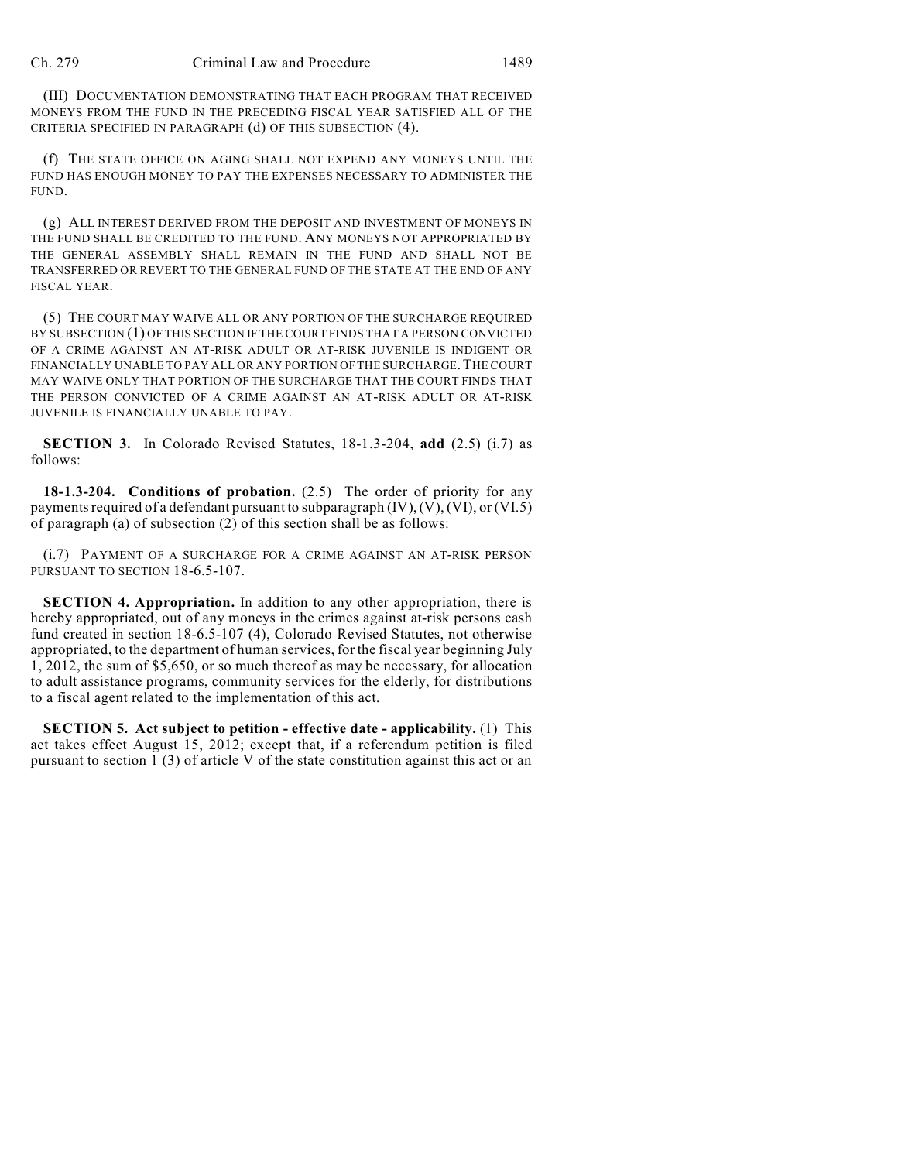(III) DOCUMENTATION DEMONSTRATING THAT EACH PROGRAM THAT RECEIVED MONEYS FROM THE FUND IN THE PRECEDING FISCAL YEAR SATISFIED ALL OF THE CRITERIA SPECIFIED IN PARAGRAPH (d) OF THIS SUBSECTION (4).

(f) THE STATE OFFICE ON AGING SHALL NOT EXPEND ANY MONEYS UNTIL THE FUND HAS ENOUGH MONEY TO PAY THE EXPENSES NECESSARY TO ADMINISTER THE FUND.

(g) ALL INTEREST DERIVED FROM THE DEPOSIT AND INVESTMENT OF MONEYS IN THE FUND SHALL BE CREDITED TO THE FUND. ANY MONEYS NOT APPROPRIATED BY THE GENERAL ASSEMBLY SHALL REMAIN IN THE FUND AND SHALL NOT BE TRANSFERRED OR REVERT TO THE GENERAL FUND OF THE STATE AT THE END OF ANY FISCAL YEAR.

(5) THE COURT MAY WAIVE ALL OR ANY PORTION OF THE SURCHARGE REQUIRED BY SUBSECTION (1) OF THIS SECTION IF THE COURT FINDS THAT A PERSON CONVICTED OF A CRIME AGAINST AN AT-RISK ADULT OR AT-RISK JUVENILE IS INDIGENT OR FINANCIALLY UNABLE TO PAY ALL OR ANY PORTION OF THE SURCHARGE.THE COURT MAY WAIVE ONLY THAT PORTION OF THE SURCHARGE THAT THE COURT FINDS THAT THE PERSON CONVICTED OF A CRIME AGAINST AN AT-RISK ADULT OR AT-RISK JUVENILE IS FINANCIALLY UNABLE TO PAY.

**SECTION 3.** In Colorado Revised Statutes, 18-1.3-204, **add** (2.5) (i.7) as follows:

**18-1.3-204. Conditions of probation.** (2.5) The order of priority for any payments required of a defendant pursuant to subparagraph  $(IV)$ ,  $(V)$ ,  $(VI)$ , or  $(VI.5)$ of paragraph (a) of subsection  $(2)$  of this section shall be as follows:

(i.7) PAYMENT OF A SURCHARGE FOR A CRIME AGAINST AN AT-RISK PERSON PURSUANT TO SECTION 18-6.5-107.

**SECTION 4. Appropriation.** In addition to any other appropriation, there is hereby appropriated, out of any moneys in the crimes against at-risk persons cash fund created in section 18-6.5-107 (4), Colorado Revised Statutes, not otherwise appropriated, to the department of human services, for the fiscal year beginning July 1, 2012, the sum of \$5,650, or so much thereof as may be necessary, for allocation to adult assistance programs, community services for the elderly, for distributions to a fiscal agent related to the implementation of this act.

**SECTION 5. Act subject to petition - effective date - applicability.** (1) This act takes effect August 15, 2012; except that, if a referendum petition is filed pursuant to section 1 (3) of article V of the state constitution against this act or an